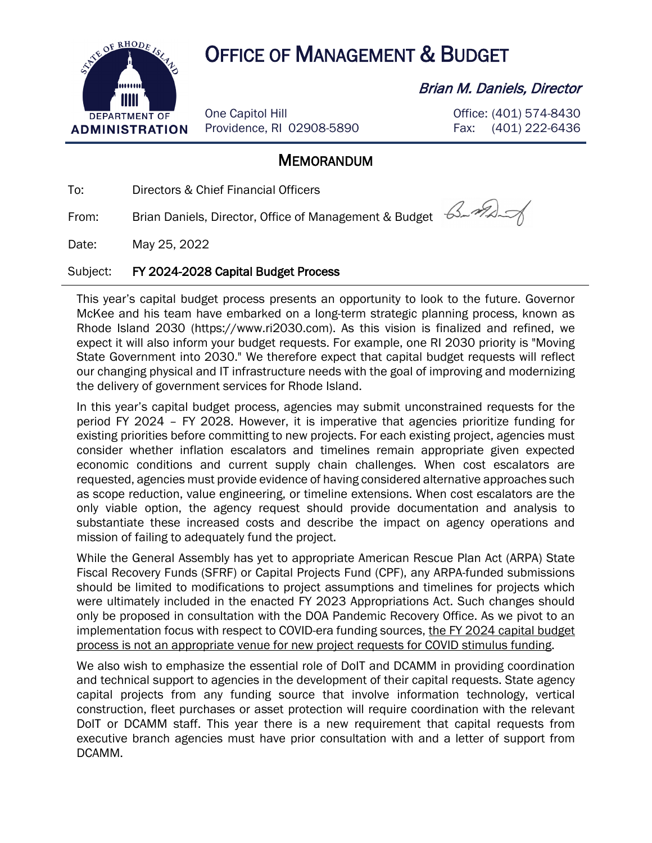

## OF RHODE ASK OFFICE OF MANAGEMENT & BUDGET

One Capitol Hill Providence, RI 02908-5890

## Brian M. Daniels, Director

Office: (401) 574-8430 Fax: (401) 222-6436

## **MEMORANDUM**

To: Directors & Chief Financial Officers

From: Brian Daniels, Director, Office of Management & Budget 64

Date: May 25, 2022

## Subject: FY 2024-2028 Capital Budget Process

This year's capital budget process presents an opportunity to look to the future. Governor McKee and his team have embarked on a long-term strategic planning process, known as Rhode Island 2030 (https://www.ri2030.com). As this vision is finalized and refined, we expect it will also inform your budget requests. For example, one RI 2030 priority is "Moving State Government into 2030." We therefore expect that capital budget requests will reflect our changing physical and IT infrastructure needs with the goal of improving and modernizing the delivery of government services for Rhode Island.

In this year's capital budget process, agencies may submit unconstrained requests for the period FY 2024 – FY 2028. However, it is imperative that agencies prioritize funding for existing priorities before committing to new projects. For each existing project, agencies must consider whether inflation escalators and timelines remain appropriate given expected economic conditions and current supply chain challenges. When cost escalators are requested, agencies must provide evidence of having considered alternative approaches such as scope reduction, value engineering, or timeline extensions. When cost escalators are the only viable option, the agency request should provide documentation and analysis to substantiate these increased costs and describe the impact on agency operations and mission of failing to adequately fund the project.

While the General Assembly has yet to appropriate American Rescue Plan Act (ARPA) State Fiscal Recovery Funds (SFRF) or Capital Projects Fund (CPF), any ARPA-funded submissions should be limited to modifications to project assumptions and timelines for projects which were ultimately included in the enacted FY 2023 Appropriations Act. Such changes should only be proposed in consultation with the DOA Pandemic Recovery Office. As we pivot to an implementation focus with respect to COVID-era funding sources, the FY 2024 capital budget process is not an appropriate venue for new project requests for COVID stimulus funding.

We also wish to emphasize the essential role of DoIT and DCAMM in providing coordination and technical support to agencies in the development of their capital requests. State agency capital projects from any funding source that involve information technology, vertical construction, fleet purchases or asset protection will require coordination with the relevant DoIT or DCAMM staff. This year there is a new requirement that capital requests from executive branch agencies must have prior consultation with and a letter of support from DCAMM.